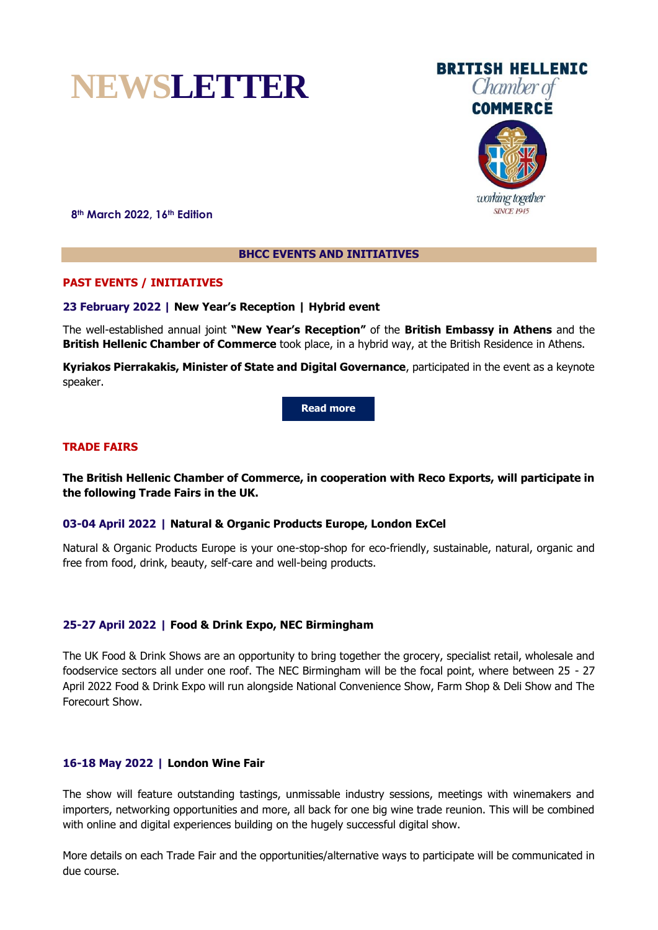# **NEWSLETTER**

**8th March 2022, 16th Edition**

# **BHCC EVENTS AND INITIATIVES**

# **PAST EVENTS / INITIATIVES**

## **23 February 2022 | New Year's Reception | Hybrid event**

The well-established annual joint **"New Year's Reception"** of the **British Embassy in Athens** and the **British Hellenic Chamber of Commerce** took place, in a hybrid way, at the British Residence in Athens.

**Kyriakos Pierrakakis, Minister of State and Digital Governance**, participated in the event as a keynote speaker.

**[Read more](http://www.bhcc.gr/events/past-events/eventdetail/143/-/)**

## **TRADE FAIRS**

**The British Hellenic Chamber of Commerce, in cooperation with Reco Exports, will participate in the following Trade Fairs in the UK.**

## **03-04 April 2022 | Natural & Organic Products Europe, London ExCel**

Natural & Organic Products Europe is your one-stop-shop for eco-friendly, sustainable, natural, organic and free from food, drink, beauty, self-care and well-being products.

# **25-27 April 2022 | Food & Drink Expo, NEC Birmingham**

The UK Food & Drink Shows are an opportunity to bring together the grocery, specialist retail, wholesale and foodservice sectors all under one roof. The NEC Birmingham will be the focal point, where between 25 - 27 April 2022 Food & Drink Expo will run alongside National Convenience Show, Farm Shop & Deli Show and The Forecourt Show.

## **16-18 May 2022 | London Wine Fair**

The show will feature outstanding tastings, unmissable industry sessions, meetings with winemakers and importers, networking opportunities and more, all back for one big wine trade reunion. This will be combined with online and digital experiences building on the hugely successful digital show.

More details on each Trade Fair and the opportunities/alternative ways to participate will be communicated in due course.





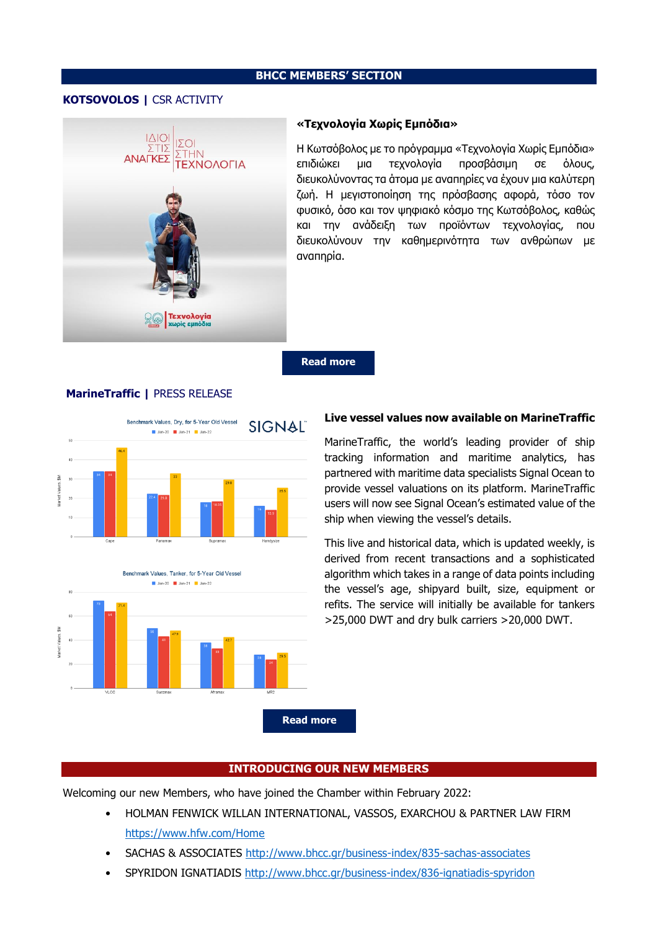#### **BHCC MEMBERS' SECTION**

# **KOTSOVOLOS |** CSR ACTIVITY



#### **«Τεχνολογία Χωρίς Εμπόδια»**

Η Κωτσόβολος με το πρόγραμμα «Τεχνολογία Χωρίς Εμπόδια» επιδιώκει μια τεχνολογία προσβάσιμη σε όλους, διευκολύνοντας τα άτομα με αναπηρίες να έχουν μια καλύτερη ζωή. Η μεγιστοποίηση της πρόσβασης αφορά, τόσο τον φυσικό, όσο και τον ψηφιακό κόσμο της Κωτσόβολος, καθώς και την ανάδειξη των προϊόντων τεχνολογίας, που διευκολύνουν την καθημερινότητα των ανθρώπων με αναπηρία.

**[Read more](https://texnologiaxwrisempodia.kotsovolos.gr/)**

# **MarineTraffic |** PRESS RELEASE





# **Live vessel values now available on MarineTraffic**

MarineTraffic, the world's leading provider of ship tracking information and maritime analytics, has partnered with maritime data specialists Signal Ocean to provide vessel valuations on its platform. MarineTraffic users will now see Signal Ocean's estimated value of the ship when viewing the vessel's details.

This live and historical data, which is updated weekly, is derived from recent transactions and a sophisticated algorithm which takes in a range of data points including the vessel's age, shipyard built, size, equipment or refits. The service will initially be available for tankers >25,000 DWT and dry bulk carriers >20,000 DWT.

## **INTRODUCING OUR NEW MEMBERS**

Welcoming our new Members, who have joined the Chamber within February 2022:

- HOLMAN FENWICK WILLAN INTERNATIONAL, VASSOS, EXARCHOU & PARTNER LAW FIRM <https://www.hfw.com/Home>
- SACHAS & ASSOCIATES<http://www.bhcc.gr/business-index/835-sachas-associates>
- SPYRIDON IGNATIADIS<http://www.bhcc.gr/business-index/836-ignatiadis-spyridon>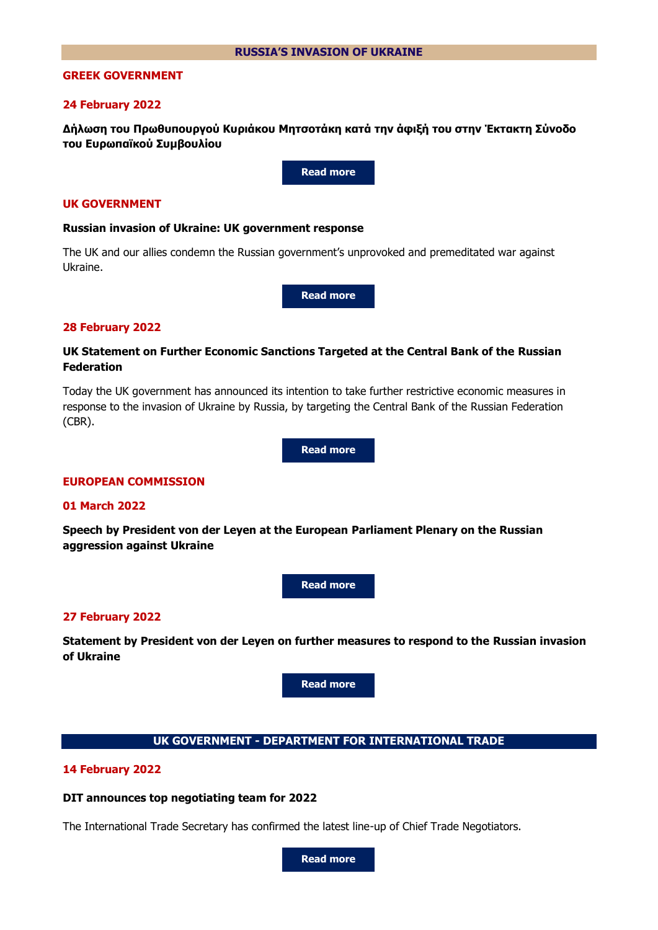## **GREEK GOVERNMENT**

#### **24 February 2022**

**Δήλωση του Πρωθυπουργού Κυριάκου Μητσοτάκη κατά την άφιξή του στην Έκτακτη Σύνοδο του Ευρωπαϊκού Συμβουλίου**

**[Read more](https://primeminister.gr/2022/02/24/28724)**

# **UK GOVERNMENT**

#### **Russian invasion of Ukraine: UK government response**

The UK and our allies condemn the Russian government's unprovoked and premeditated war against Ukraine.

**[Read more](https://www.gov.uk/government/topical-events/russian-invasion-of-ukraine-uk-government-response)**

#### **28 February 2022**

# **UK Statement on Further Economic Sanctions Targeted at the Central Bank of the Russian Federation**

Today the UK government has announced its intention to take further restrictive economic measures in response to the invasion of Ukraine by Russia, by targeting the Central Bank of the Russian Federation (CBR).

**[Read more](https://www.gov.uk/government/news/uk-statement-on-further-economic-sanctions-targeted-at-the-central-bank-of-the-russian-federation)**

#### **EUROPEAN COMMISSION**

## **01 March 2022**

**Speech by President von der Leyen at the European Parliament Plenary on the Russian aggression against Ukraine**



#### **27 February 2022**

**Statement by President von der Leyen on further measures to respond to the Russian invasion of Ukraine**

**[Read more](https://ec.europa.eu/commission/presscorner/detail/en/statement_22_1441)**

#### **UK GOVERNMENT - DEPARTMENT FOR INTERNATIONAL TRADE**

#### **14 February 2022**

#### **DIT announces top negotiating team for 2022**

The International Trade Secretary has confirmed the latest line-up of Chief Trade Negotiators.

**[Read more](https://www.gov.uk/government/news/dit-announces-top-negotiating-team-for-2022)**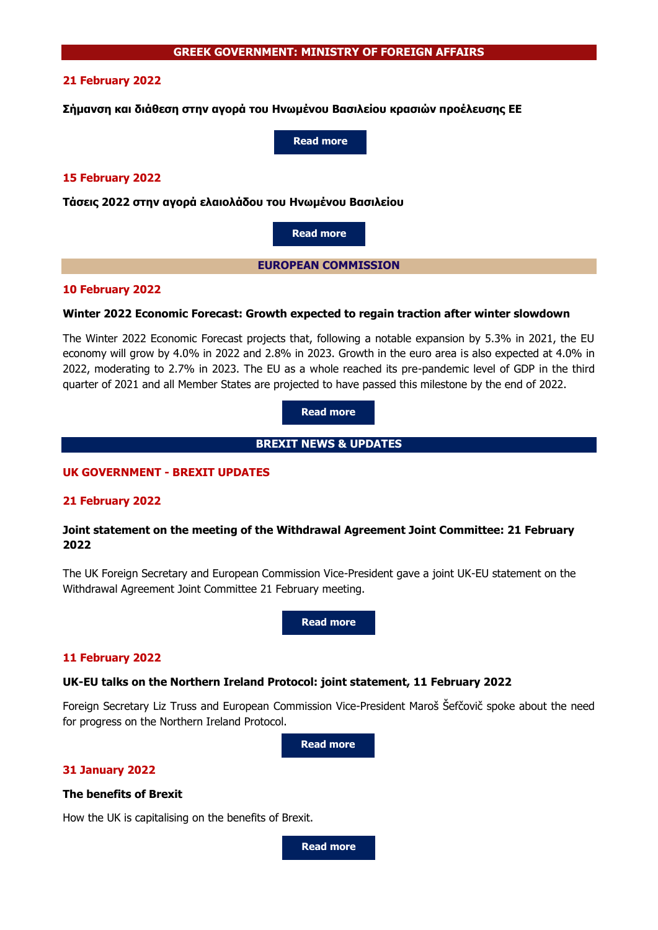# **21 February 2022**

**Σήμανση και διάθεση στην αγορά του Ηνωμένου Βασιλείου κρασιών προέλευσης ΕΕ**

**[Read more](https://agora.mfa.gr/infofiles-menu/infofile/79252)**

## **15 February 2022**

**Τάσεις 2022 στην αγορά ελαιολάδου του Ηνωμένου Βασιλείου**

**[Read more](https://agora.mfa.gr/infofiles-menu/infofile/79190)**

**EUROPEAN COMMISSION**

## **10 February 2022**

## **Winter 2022 Economic Forecast: Growth expected to regain traction after winter slowdown**

The Winter 2022 Economic Forecast projects that, following a notable expansion by 5.3% in 2021, the EU economy will grow by 4.0% in 2022 and 2.8% in 2023. Growth in the euro area is also expected at 4.0% in 2022, moderating to 2.7% in 2023. The EU as a whole reached its pre-pandemic level of GDP in the third quarter of 2021 and all Member States are projected to have passed this milestone by the end of 2022.

**[Read more](https://ec.europa.eu/commission/presscorner/detail/en/ip_22_926)**

**BREXIT NEWS & UPDATES**

# **UK GOVERNMENT - BREXIT UPDATES**

# **21 February 2022**

# **Joint statement on the meeting of the Withdrawal Agreement Joint Committee: 21 February 2022**

The UK Foreign Secretary and European Commission Vice-President gave a joint UK-EU statement on the Withdrawal Agreement Joint Committee 21 February meeting.

**[Read more](https://www.gov.uk/government/news/joint-statement-on-the-meeting-of-the-withdrawal-agreement-joint-committee-21-february-2022)**

## **11 February 2022**

## **UK-EU talks on the Northern Ireland Protocol: joint statement, 11 February 2022**

Foreign Secretary Liz Truss and European Commission Vice-President Maroš Šefčovič spoke about the need for progress on the Northern Ireland Protocol.

**[Read more](https://www.gov.uk/government/news/uk-eu-talks-on-the-northern-ireland-protocol-joint-statement-11-february-2022)**

# **31 January 2022**

## **The benefits of Brexit**

How the UK is capitalising on the benefits of Brexit.

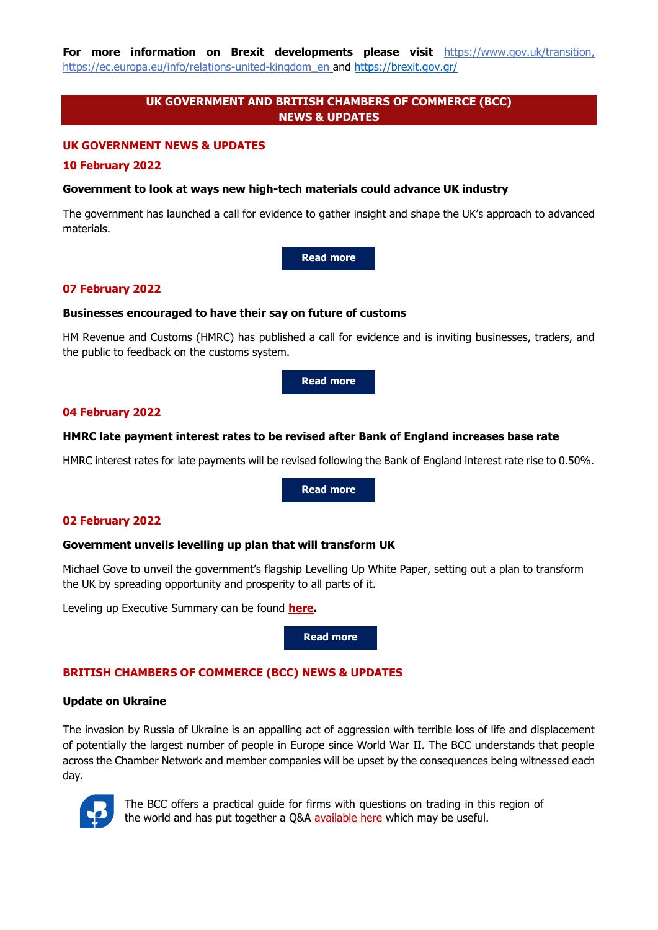**For more information on Brexit developments please visit** [https://www.gov.uk/transition,](https://www.gov.uk/transition) [https://ec.europa.eu/info/relations-united-kingdom\\_en](https://ec.europa.eu/info/relations-united-kingdom_en) and <https://brexit.gov.gr/>

# **UK GOVERNMENT AND BRITISH CHAMBERS OF COMMERCE (BCC) NEWS & UPDATES**

#### **UK GOVERNMENT NEWS & UPDATES**

#### **10 February 2022**

#### **Government to look at ways new high-tech materials could advance UK industry**

The government has launched a call for evidence to gather insight and shape the UK's approach to advanced materials.

**[Read more](https://www.gov.uk/government/news/government-to-look-at-ways-new-high-tech-materials-could-advance-uk-industry)**

#### **07 February 2022**

#### **Businesses encouraged to have their say on future of customs**

HM Revenue and Customs (HMRC) has published a call for evidence and is inviting businesses, traders, and the public to feedback on the customs system.

**[Read more](https://www.gov.uk/government/news/businesses-encouraged-to-have-their-say-on-future-of-customs)**

## **04 February 2022**

#### **HMRC late payment interest rates to be revised after Bank of England increases base rate**

HMRC interest rates for late payments will be revised following the Bank of England interest rate rise to 0.50%.

**[Read more](https://www.gov.uk/government/news/hmrc-late-payment-interest-rates-to-be-revised-after-bank-of-england-increases-base-rate--2)**

#### **02 February 2022**

## **Government unveils levelling up plan that will transform UK**

Michael Gove to unveil the government's flagship Levelling Up White Paper, setting out a plan to transform the UK by spreading opportunity and prosperity to all parts of it.

Leveling up Executive Summary can be found **[here.](https://assets.publishing.service.gov.uk/government/uploads/system/uploads/attachment_data/file/1052046/Executive_Summary.pdf)**

**[Read more](https://www.gov.uk/government/news/government-unveils-levelling-up-plan-that-will-transform-uk)**

# **BRITISH CHAMBERS OF COMMERCE (BCC) NEWS & UPDATES**

#### **Update on Ukraine**

The invasion by Russia of Ukraine is an appalling act of aggression with terrible loss of life and displacement of potentially the largest number of people in Europe since World War II. The BCC understands that people across the Chamber Network and member companies will be upset by the consequences being witnessed each day.



The BCC offers a practical guide for firms with questions on trading in this region of the world and has put together a Q&A [available here](https://response.gv-c.com/Mail/Click/224?a=9FD815073CCBDBA35C18342AB5BC5365&r=3DC8A0987A997F2D85D4EF1316B171C9&v=) which may be useful.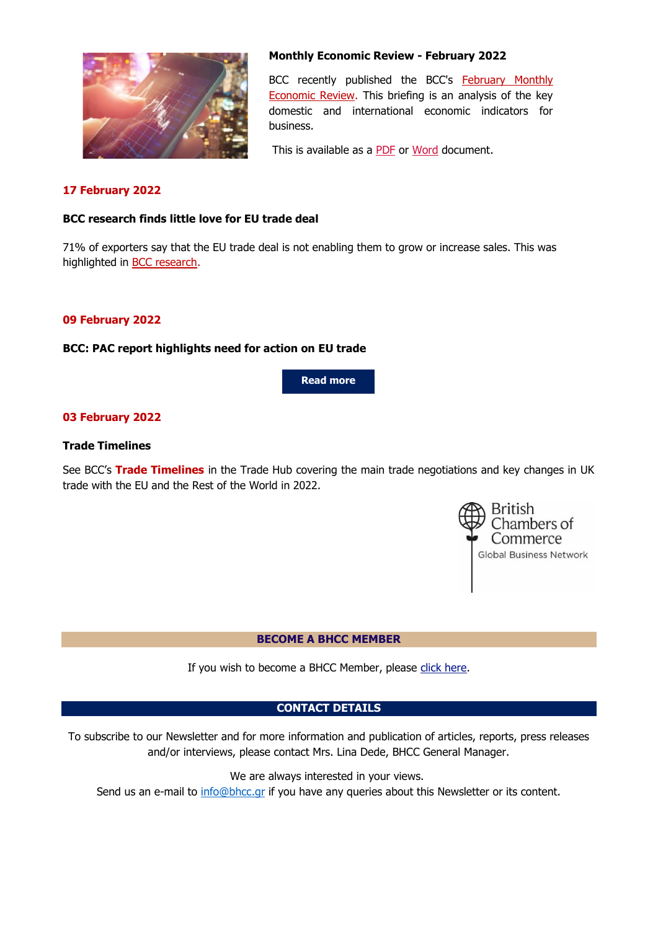

# **Monthly Economic Review - February 2022**

BCC recently published the BCC's [February Monthly](https://response.gv-c.com/Mail/Click/224?a=60145987F6EBB5901FC6F7943042C104&r=AC7C62C1E14A5A7A695B46D5A280995C&v=)  [Economic Review.](https://response.gv-c.com/Mail/Click/224?a=60145987F6EBB5901FC6F7943042C104&r=AC7C62C1E14A5A7A695B46D5A280995C&v=) This briefing is an analysis of the key domestic and international economic indicators for business.

This is available as a **PDF** or [Word](https://images.gv-c.com/216/Documents/5344/BCC_Monthly_Economic_Review_February_2022.docx) document.

# **17 February 2022**

## **BCC research finds little love for EU trade deal**

71% of exporters say that the EU trade deal is not enabling them to grow or increase sales. This was highlighted in [BCC research.](https://response.gv-c.com/Mail/Click/224?a=4712DD10992EDEE8A37C8928F8D2E061&r=AC7C62C1E14A5A7A695B46D5A280995C&v=)

## **09 February 2022**

## **BCC: PAC report highlights need for action on EU trade**

**[Read more](https://www.britishchambers.org.uk/news/2022/02/bcc-pac-report-highlights-need-for-action-on-eu-trade)**

# **03 February 2022**

## **Trade Timelines**

See BCC's **[Trade Timelines](https://response.gv-c.com/Mail/Click/224?a=31C60228F7EC3CF75599C00F37E9BD87&r=AC7C62C1E14A5A7A695B46D5A280995C&v=)** in the Trade Hub covering the main trade negotiations and key changes in UK trade with the EU and the Rest of the World in 2022.



## **BECOME A BHCC MEMBER**

If you wish to become a BHCC Member, please [click here.](http://www.bhcc.gr/membership/become-member)

# **CONTACT DETAILS**

To subscribe to our Newsletter and for more information and publication of articles, reports, press releases and/or interviews, please contact Mrs. Lina Dede, BHCC General Manager.

We are always interested in your views.

Send us an e-mail to [info@bhcc.gr](mailto:info@bhcc.gr) if you have any queries about this Newsletter or its content.